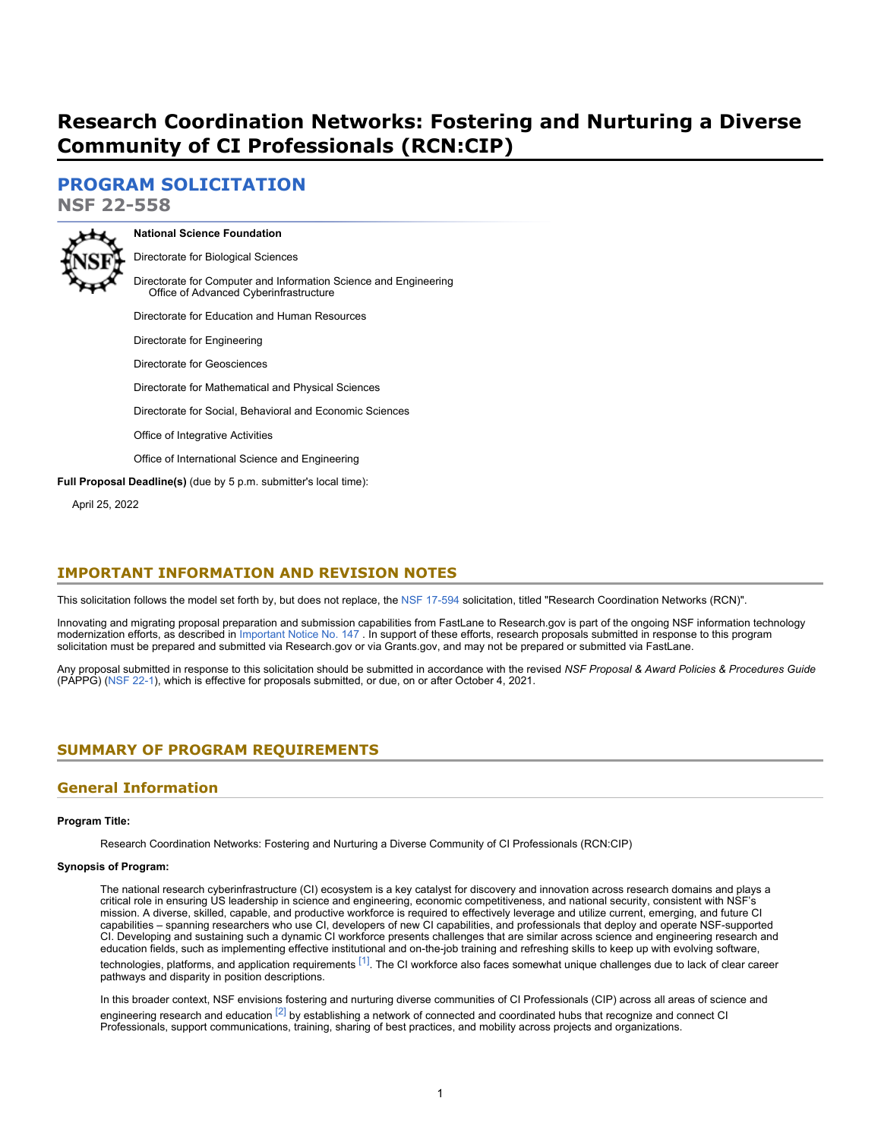# **Research Coordination Networks: Fostering and Nurturing a Diverse Community of CI Professionals (RCN:CIP)**

**[PROGRAM SOLICITATION](#page-3-0)**

**NSF 22-558**



**National Science Foundation** Directorate for Biological Sciences

Directorate for Computer and Information Science and Engineering Office of Advanced Cyberinfrastructure

Directorate for Education and Human Resources

Directorate for Engineering Directorate for Geosciences Directorate for Mathematical and Physical Sciences

Directorate for Social, Behavioral and Economic Sciences

Office of Integrative Activities

Office of International Science and Engineering

**Full Proposal Deadline(s)** (due by 5 p.m. submitter's local time):

April 25, 2022

# **IMPORTANT INFORMATION AND REVISION NOTES**

This solicitation follows the model set forth by, but does not replace, the [NSF 17-594](https://www.nsf.gov/publications/pub_summ.jsp?ods_key=nsf17594) solicitation, titled "Research Coordination Networks (RCN)".

Innovating and migrating proposal preparation and submission capabilities from FastLane to Research.gov is part of the ongoing NSF information technology modernization efforts, as described in [Important Notice No. 147](https://www.nsf.gov/publications/pub_summ.jsp?ods_key=in147) . In support of these efforts, research proposals submitted in response to this program solicitation must be prepared and submitted via Research.gov or via Grants.gov, and may not be prepared or submitted via FastLane.

Any proposal submitted in response to this solicitation should be submitted in accordance with the revised *NSF Proposal & Award Policies & Procedures Guide* (PAPPG) [\(NSF 22-1](https://www.nsf.gov/publications/pub_summ.jsp?ods_key=nsf22001&org=NSF)), which is effective for proposals submitted, or due, on or after October 4, 2021.

# <span id="page-0-0"></span>**SUMMARY OF PROGRAM REQUIREMENTS**

# **General Information**

#### **Program Title:**

Research Coordination Networks: Fostering and Nurturing a Diverse Community of CI Professionals (RCN:CIP)

#### **Synopsis of Program:**

The national research cyberinfrastructure (CI) ecosystem is a key catalyst for discovery and innovation across research domains and plays a critical role in ensuring US leadership in science and engineering, economic competitiveness, and national security, consistent with NSF's mission. A diverse, skilled, capable, and productive workforce is required to effectively leverage and utilize current, emerging, and future CI capabilities – spanning researchers who use CI, developers of new CI capabilities, and professionals that deploy and operate NSF-supported CI. Developing and sustaining such a dynamic CI workforce presents challenges that are similar across science and engineering research and education fields, such as implementing effective institutional and on-the-job training and refreshing skills to keep up with evolving software, technologies, platforms, and application requirements <sup>[1]</sup>. The CI workforce also faces somewhat unique challenges due to lack of clear career pathways and disparity in position descriptions.

In this broader context, NSF envisions fostering and nurturing diverse communities of CI Professionals (CIP) across all areas of science and engineering research and education  $^{[2]}$  $^{[2]}$  $^{[2]}$  by establishing a network of connected and coordinated hubs that recognize and connect CI Professionals, support communications, training, sharing of best practices, and mobility across projects and organizations.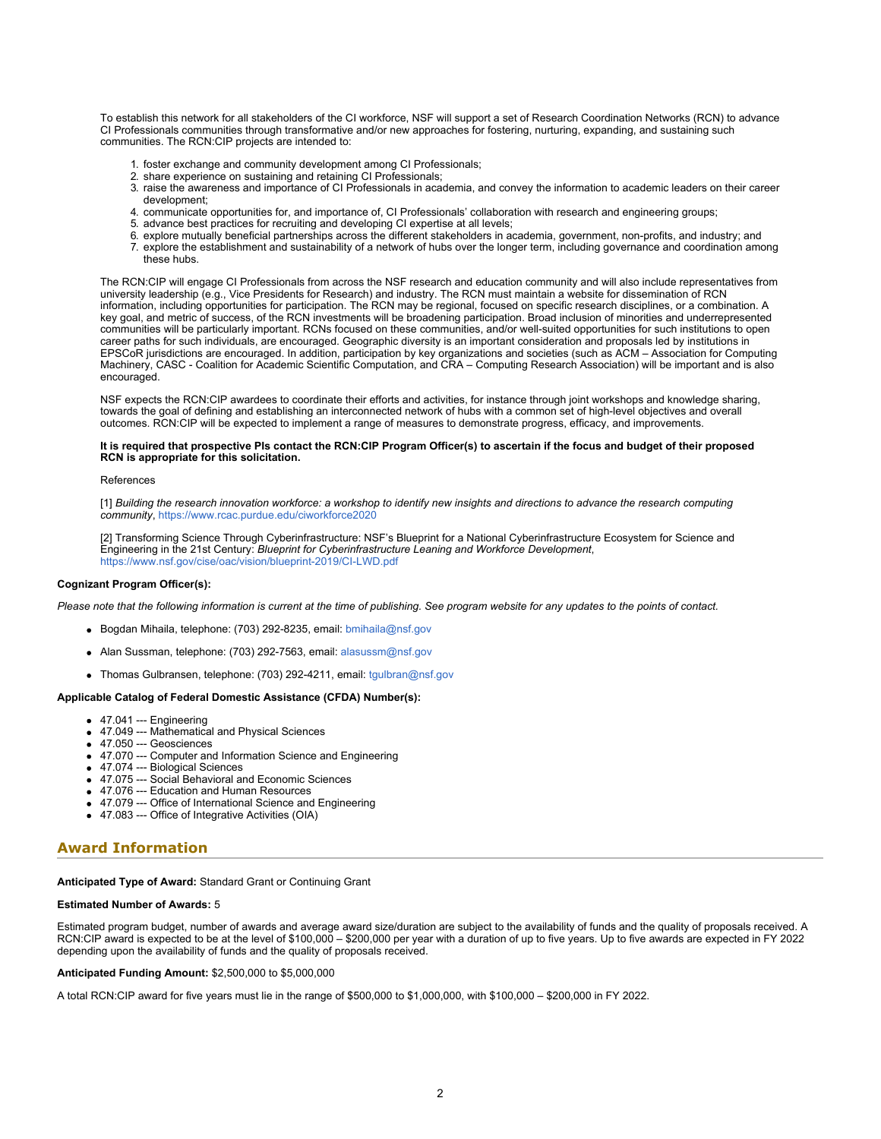To establish this network for all stakeholders of the CI workforce, NSF will support a set of Research Coordination Networks (RCN) to advance CI Professionals communities through transformative and/or new approaches for fostering, nurturing, expanding, and sustaining such communities. The RCN:CIP projects are intended to:

- 1. foster exchange and community development among CI Professionals;
- 2. share experience on sustaining and retaining CI Professionals;
- 3. raise the awareness and importance of CI Professionals in academia, and convey the information to academic leaders on their career development;
- 4. communicate opportunities for, and importance of, CI Professionals' collaboration with research and engineering groups;
- 5. advance best practices for recruiting and developing CI expertise at all levels;
- 6. explore mutually beneficial partnerships across the different stakeholders in academia, government, non-profits, and industry; and
- 7. explore the establishment and sustainability of a network of hubs over the longer term, including governance and coordination among these hubs.

The RCN:CIP will engage CI Professionals from across the NSF research and education community and will also include representatives from university leadership (e.g., Vice Presidents for Research) and industry. The RCN must maintain a website for dissemination of RCN information, including opportunities for participation. The RCN may be regional, focused on specific research disciplines, or a combination. A key goal, and metric of success, of the RCN investments will be broadening participation. Broad inclusion of minorities and underrepresented communities will be particularly important. RCNs focused on these communities, and/or well-suited opportunities for such institutions to open career paths for such individuals, are encouraged. Geographic diversity is an important consideration and proposals led by institutions in EPSCoR jurisdictions are encouraged. In addition, participation by key organizations and societies (such as ACM – Association for Computing Machinery, CASC - Coalition for Academic Scientific Computation, and CRA – Computing Research Association) will be important and is also encouraged.

NSF expects the RCN:CIP awardees to coordinate their efforts and activities, for instance through joint workshops and knowledge sharing, towards the goal of defining and establishing an interconnected network of hubs with a common set of high-level objectives and overall outcomes. RCN:CIP will be expected to implement a range of measures to demonstrate progress, efficacy, and improvements.

#### **It is required that prospective PIs contact the RCN:CIP Program Officer(s) to ascertain if the focus and budget of their proposed RCN is appropriate for this solicitation.**

#### References

<span id="page-1-0"></span>[1] *Building the research innovation workforce: a workshop to identify new insights and directions to advance the research computing community*, [https://www.rcac.purdue.edu/ciworkforce2020](https://www.nsf.gov/cgi-bin/goodbye?https://www.rcac.purdue.edu/ciworkforce2020)

[2] Transforming Science Through Cyberinfrastructure: NSF's Blueprint for a National Cyberinfrastructure Ecosystem for Science and Engineering in the 21st Century: *Blueprint for Cyberinfrastructure Leaning and Workforce Development*, <https://www.nsf.gov/cise/oac/vision/blueprint-2019/CI-LWD.pdf>

#### <span id="page-1-1"></span>**Cognizant Program Officer(s):**

*Please note that the following information is current at the time of publishing. See program website for any updates to the points of contact.*

- Bogdan Mihaila, telephone: (703) 292-8235, email: [bmihaila@nsf.gov](mailto:bmihaila@nsf.gov)
- Alan Sussman, telephone: (703) 292-7563, email: [alasussm@nsf.gov](mailto:alasussm@nsf.gov)
- Thomas Gulbransen, telephone: (703) 292-4211, email: [tgulbran@nsf.gov](mailto:tgulbran@nsf.gov)

#### **Applicable Catalog of Federal Domestic Assistance (CFDA) Number(s):**

- 47.041 --- Engineering
- 47.049 --- Mathematical and Physical Sciences
- 47.050 --- Geosciences
- 47.070 --- Computer and Information Science and Engineering
- 47.074 --- Biological Sciences
- 47.075 --- Social Behavioral and Economic Sciences
- 47.076 --- Education and Human Resources
- 47.079 --- Office of International Science and Engineering
- 47.083 --- Office of Integrative Activities (OIA)

### **Award Information**

**Anticipated Type of Award:** Standard Grant or Continuing Grant

#### **Estimated Number of Awards:** 5

Estimated program budget, number of awards and average award size/duration are subject to the availability of funds and the quality of proposals received. A RCN:CIP award is expected to be at the level of \$100,000 – \$200,000 per year with a duration of up to five years. Up to five awards are expected in FY 2022 depending upon the availability of funds and the quality of proposals received.

#### **Anticipated Funding Amount:** \$2,500,000 to \$5,000,000

A total RCN:CIP award for five years must lie in the range of \$500,000 to \$1,000,000, with \$100,000 – \$200,000 in FY 2022.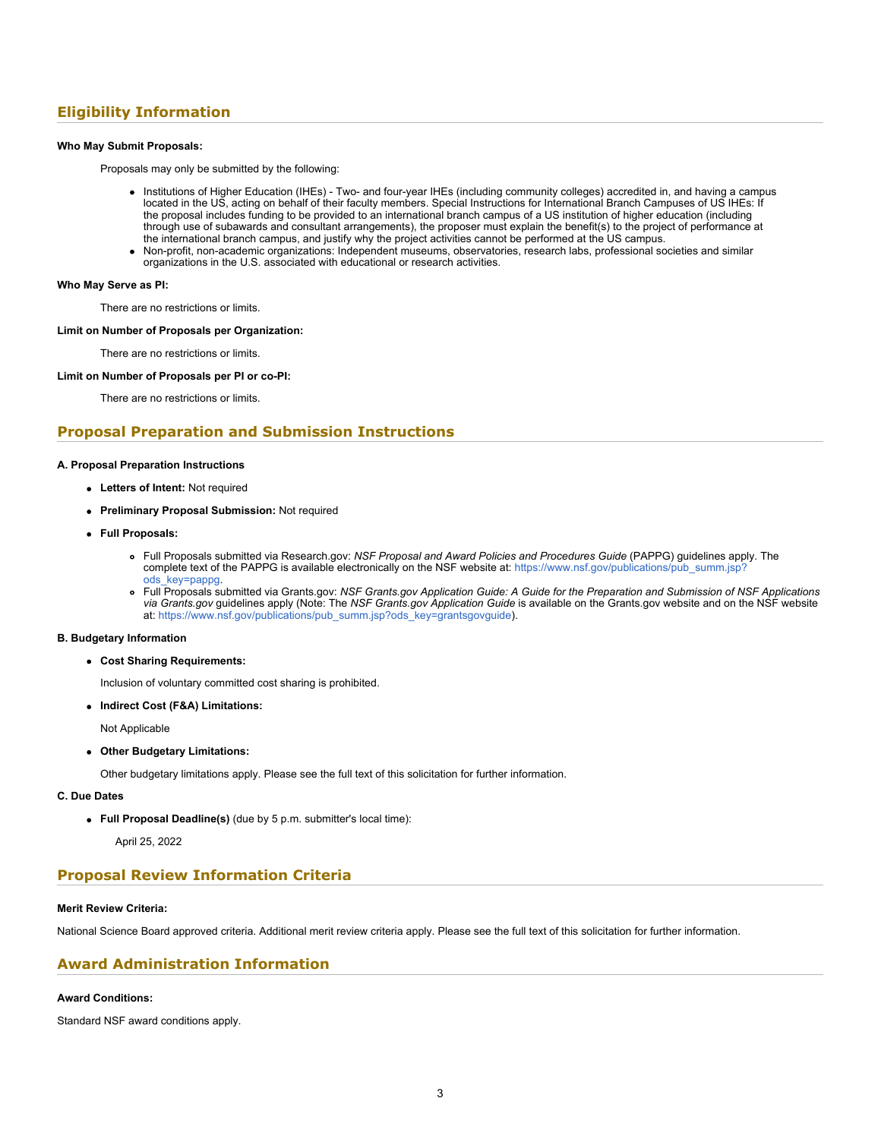# **Eligibility Information**

#### **Who May Submit Proposals:**

Proposals may only be submitted by the following:

- Institutions of Higher Education (IHEs) Two- and four-year IHEs (including community colleges) accredited in, and having a campus located in the US, acting on behalf of their faculty members. Special Instructions for International Branch Campuses of US IHEs: If the proposal includes funding to be provided to an international branch campus of a US institution of higher education (including through use of subawards and consultant arrangements), the proposer must explain the benefit(s) to the project of performance at the international branch campus, and justify why the project activities cannot be performed at the US campus.
- Non-profit, non-academic organizations: Independent museums, observatories, research labs, professional societies and similar organizations in the U.S. associated with educational or research activities.

#### **Who May Serve as PI:**

There are no restrictions or limits.

#### **Limit on Number of Proposals per Organization:**

There are no restrictions or limits.

#### **Limit on Number of Proposals per PI or co-PI:**

There are no restrictions or limits.

### **Proposal Preparation and Submission Instructions**

#### **A. Proposal Preparation Instructions**

- **Letters of Intent:** Not required
- **Preliminary Proposal Submission:** Not required
- **Full Proposals:**
	- Full Proposals submitted via Research.gov: *NSF Proposal and Award Policies and Procedures Guide* (PAPPG) guidelines apply. The complete text of the PAPPG is available electronically on the NSF website at: [https://www.nsf.gov/publications/pub\\_summ.jsp?](https://www.nsf.gov/publications/pub_summ.jsp?ods_key=pappg) [ods\\_key=pappg.](https://www.nsf.gov/publications/pub_summ.jsp?ods_key=pappg)
	- Full Proposals submitted via Grants.gov: *NSF Grants.gov Application Guide: A Guide for the Preparation and Submission of NSF Applications via Grants.gov* guidelines apply (Note: The *NSF Grants.gov Application Guide* is available on the Grants.gov website and on the NSF website at: [https://www.nsf.gov/publications/pub\\_summ.jsp?ods\\_key=grantsgovguide](https://www.nsf.gov/publications/pub_summ.jsp?ods_key=grantsgovguide)).

#### **B. Budgetary Information**

**Cost Sharing Requirements:**

Inclusion of voluntary committed cost sharing is prohibited.

**Indirect Cost (F&A) Limitations:**

Not Applicable

**Other Budgetary Limitations:**

Other budgetary limitations apply. Please see the full text of this solicitation for further information.

#### **C. Due Dates**

**Full Proposal Deadline(s)** (due by 5 p.m. submitter's local time):

April 25, 2022

### **Proposal Review Information Criteria**

#### **Merit Review Criteria:**

National Science Board approved criteria. Additional merit review criteria apply. Please see the full text of this solicitation for further information.

# **Award Administration Information**

#### **Award Conditions:**

Standard NSF award conditions apply.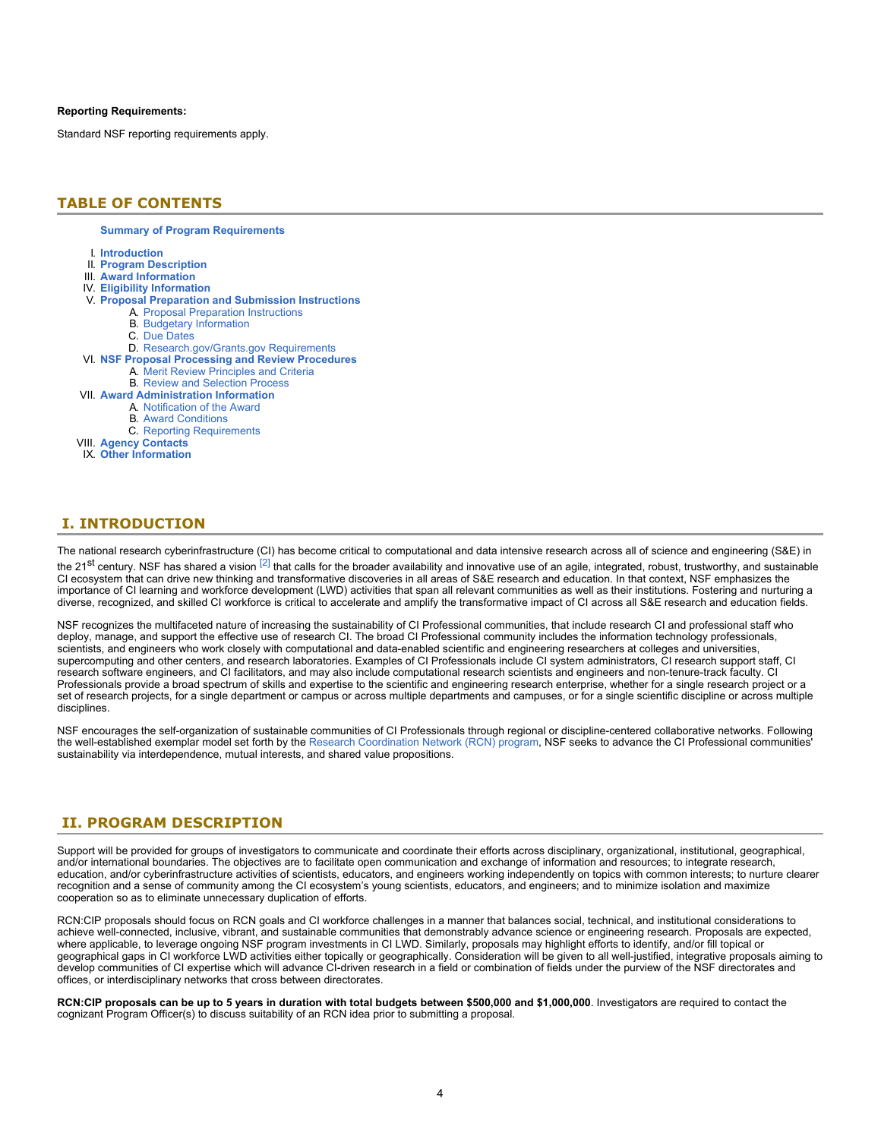#### **Reporting Requirements:**

Standard NSF reporting requirements apply.

### <span id="page-3-0"></span>**TABLE OF CONTENTS**

**[Summary of Program Requirements](#page-0-0)**

- I. **[Introduction](#page-3-1)**
- II. **[Program Description](#page-3-2)**
- III. **[Award Information](#page-4-0)**
- IV. **[Eligibility Information](#page-4-1)**
- V. **[Proposal Preparation and Submission Instructions](#page-5-0)**
	- A. [Proposal Preparation Instructions](#page-5-0)
		- B. [Budgetary Information](#page-6-0)
		- C. [Due Dates](#page-6-1)
- D. [Research.gov/Grants.gov Requirements](#page-6-2)
- VI. **[NSF Proposal Processing and Review Procedures](#page-7-0)**
	- A. [Merit Review Principles and Criteria](#page-7-1)
	- B. [Review and Selection Process](#page-8-0)
- VII. **[Award Administration Information](#page-9-0)**
	- A. [Notification of the Award](#page-9-1)
	- B. [Award Conditions](#page-9-2)
	- C. [Reporting Requirements](#page-9-3)
- VIII. **[Agency Contacts](#page-9-4)**
- IX. **[Other Information](#page-10-0)**

### <span id="page-3-1"></span>**I. INTRODUCTION**

The national research cyberinfrastructure (CI) has become critical to computational and data intensive research across all of science and engineering (S&E) in the 21<sup>st</sup> century. NSF has shared a vision  $^{[2]}$  that calls for the broader availability and innovative use of an agile, integrated, robust, trustworthy, and sustainable CI ecosystem that can drive new thinking and transformative discoveries in all areas of S&E research and education. In that context, NSF emphasizes the importance of CI learning and workforce development (LWD) activities that span all relevant communities as well as their institutions. Fostering and nurturing a diverse, recognized, and skilled CI workforce is critical to accelerate and amplify the transformative impact of CI across all S&E research and education fields.

NSF recognizes the multifaceted nature of increasing the sustainability of CI Professional communities, that include research CI and professional staff who deploy, manage, and support the effective use of research CI. The broad CI Professional community includes the information technology professionals, scientists, and engineers who work closely with computational and data-enabled scientific and engineering researchers at colleges and universities, supercomputing and other centers, and research laboratories. Examples of CI Professionals include CI system administrators, CI research support staff, CI research software engineers, and CI facilitators, and may also include computational research scientists and engineers and non-tenure-track faculty. CI Professionals provide a broad spectrum of skills and expertise to the scientific and engineering research enterprise, whether for a single research project or a set of research projects, for a single department or campus or across multiple departments and campuses, or for a single scientific discipline or across multiple disciplines.

NSF encourages the self-organization of sustainable communities of CI Professionals through regional or discipline-centered collaborative networks. Following the well-established exemplar model set forth by the [Research Coordination Network \(RCN\) program](https://www.nsf.gov/funding/pgm_summ.jsp?pims_id=11691), NSF seeks to advance the CI Professional communities' sustainability via interdependence, mutual interests, and shared value propositions.

### <span id="page-3-2"></span>**II. PROGRAM DESCRIPTION**

Support will be provided for groups of investigators to communicate and coordinate their efforts across disciplinary, organizational, institutional, geographical, and/or international boundaries. The objectives are to facilitate open communication and exchange of information and resources; to integrate research, education, and/or cyberinfrastructure activities of scientists, educators, and engineers working independently on topics with common interests; to nurture clearer recognition and a sense of community among the CI ecosystem's young scientists, educators, and engineers; and to minimize isolation and maximize cooperation so as to eliminate unnecessary duplication of efforts.

RCN:CIP proposals should focus on RCN goals and CI workforce challenges in a manner that balances social, technical, and institutional considerations to achieve well-connected, inclusive, vibrant, and sustainable communities that demonstrably advance science or engineering research. Proposals are expected, where applicable, to leverage ongoing NSF program investments in CI LWD. Similarly, proposals may highlight efforts to identify, and/or fill topical or geographical gaps in CI workforce LWD activities either topically or geographically. Consideration will be given to all well-justified, integrative proposals aiming to develop communities of CI expertise which will advance CI-driven research in a field or combination of fields under the purview of the NSF directorates and offices, or interdisciplinary networks that cross between directorates.

**RCN:CIP proposals can be up to 5 years in duration with total budgets between \$500,000 and \$1,000,000**. Investigators are required to contact the cognizant Program Officer(s) to discuss suitability of an RCN idea prior to submitting a proposal.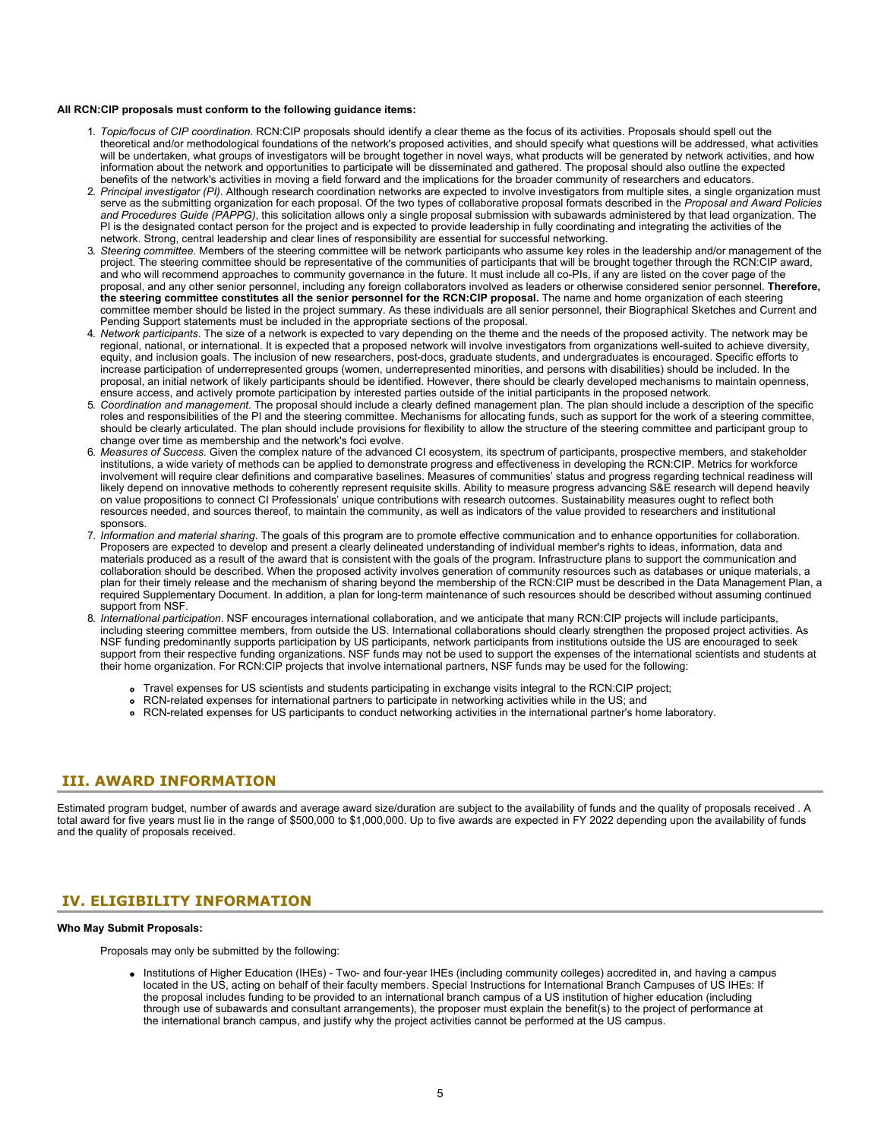#### **All RCN:CIP proposals must conform to the following guidance items:**

- 1. *Topic/focus of CIP coordination*. RCN:CIP proposals should identify a clear theme as the focus of its activities. Proposals should spell out the theoretical and/or methodological foundations of the network's proposed activities, and should specify what questions will be addressed, what activities will be undertaken, what groups of investigators will be brought together in novel ways, what products will be generated by network activities, and how information about the network and opportunities to participate will be disseminated and gathered. The proposal should also outline the expected benefits of the network's activities in moving a field forward and the implications for the broader community of researchers and educators.
- 2. *Principal investigator (PI)*. Although research coordination networks are expected to involve investigators from multiple sites, a single organization must serve as the submitting organization for each proposal. Of the two types of collaborative proposal formats described in the *Proposal and Award Policies and Procedures Guide (PAPPG)*, this solicitation allows only a single proposal submission with subawards administered by that lead organization. The PI is the designated contact person for the project and is expected to provide leadership in fully coordinating and integrating the activities of the network. Strong, central leadership and clear lines of responsibility are essential for successful networking.
- 3. *Steering committee*. Members of the steering committee will be network participants who assume key roles in the leadership and/or management of the project. The steering committee should be representative of the communities of participants that will be brought together through the RCN:CIP award, and who will recommend approaches to community governance in the future. It must include all co-PIs, if any are listed on the cover page of the proposal, and any other senior personnel, including any foreign collaborators involved as leaders or otherwise considered senior personnel. **Therefore, the steering committee constitutes all the senior personnel for the RCN:CIP proposal.** The name and home organization of each steering committee member should be listed in the project summary. As these individuals are all senior personnel, their Biographical Sketches and Current and Pending Support statements must be included in the appropriate sections of the proposal.
- 4. *Network participants*. The size of a network is expected to vary depending on the theme and the needs of the proposed activity. The network may be regional, national, or international. It is expected that a proposed network will involve investigators from organizations well-suited to achieve diversity, equity, and inclusion goals. The inclusion of new researchers, post-docs, graduate students, and undergraduates is encouraged. Specific efforts to increase participation of underrepresented groups (women, underrepresented minorities, and persons with disabilities) should be included. In the proposal, an initial network of likely participants should be identified. However, there should be clearly developed mechanisms to maintain openness, ensure access, and actively promote participation by interested parties outside of the initial participants in the proposed network.
- 5. *Coordination and management*. The proposal should include a clearly defined management plan. The plan should include a description of the specific roles and responsibilities of the PI and the steering committee. Mechanisms for allocating funds, such as support for the work of a steering committee, should be clearly articulated. The plan should include provisions for flexibility to allow the structure of the steering committee and participant group to change over time as membership and the network's foci evolve.
- 6. *Measures of Success*. Given the complex nature of the advanced CI ecosystem, its spectrum of participants, prospective members, and stakeholder institutions, a wide variety of methods can be applied to demonstrate progress and effectiveness in developing the RCN:CIP. Metrics for workforce involvement will require clear definitions and comparative baselines. Measures of communities' status and progress regarding technical readiness will likely depend on innovative methods to coherently represent requisite skills. Ability to measure progress advancing S&E research will depend heavily on value propositions to connect CI Professionals' unique contributions with research outcomes. Sustainability measures ought to reflect both resources needed, and sources thereof, to maintain the community, as well as indicators of the value provided to researchers and institutional sponsors.
- 7. *Information and material sharing*. The goals of this program are to promote effective communication and to enhance opportunities for collaboration. Proposers are expected to develop and present a clearly delineated understanding of individual member's rights to ideas, information, data and materials produced as a result of the award that is consistent with the goals of the program. Infrastructure plans to support the communication and collaboration should be described. When the proposed activity involves generation of community resources such as databases or unique materials, a plan for their timely release and the mechanism of sharing beyond the membership of the RCN:CIP must be described in the Data Management Plan, a required Supplementary Document. In addition, a plan for long-term maintenance of such resources should be described without assuming continued support from NSF.
- 8. *International participation*. NSF encourages international collaboration, and we anticipate that many RCN:CIP projects will include participants, including steering committee members, from outside the US. International collaborations should clearly strengthen the proposed project activities. As NSF funding predominantly supports participation by US participants, network participants from institutions outside the US are encouraged to seek support from their respective funding organizations. NSF funds may not be used to support the expenses of the international scientists and students at their home organization. For RCN:CIP projects that involve international partners, NSF funds may be used for the following:
	- Travel expenses for US scientists and students participating in exchange visits integral to the RCN:CIP project;
	- RCN-related expenses for international partners to participate in networking activities while in the US; and
	- RCN-related expenses for US participants to conduct networking activities in the international partner's home laboratory.

### <span id="page-4-0"></span>**III. AWARD INFORMATION**

Estimated program budget, number of awards and average award size/duration are subject to the availability of funds and the quality of proposals received . A total award for five years must lie in the range of \$500,000 to \$1,000,000. Up to five awards are expected in FY 2022 depending upon the availability of funds and the quality of proposals received.

### <span id="page-4-1"></span>**IV. ELIGIBILITY INFORMATION**

#### **Who May Submit Proposals:**

Proposals may only be submitted by the following:

• Institutions of Higher Education (IHEs) - Two- and four-year IHEs (including community colleges) accredited in, and having a campus located in the US, acting on behalf of their faculty members. Special Instructions for International Branch Campuses of US IHEs: If the proposal includes funding to be provided to an international branch campus of a US institution of higher education (including through use of subawards and consultant arrangements), the proposer must explain the benefit(s) to the project of performance at the international branch campus, and justify why the project activities cannot be performed at the US campus.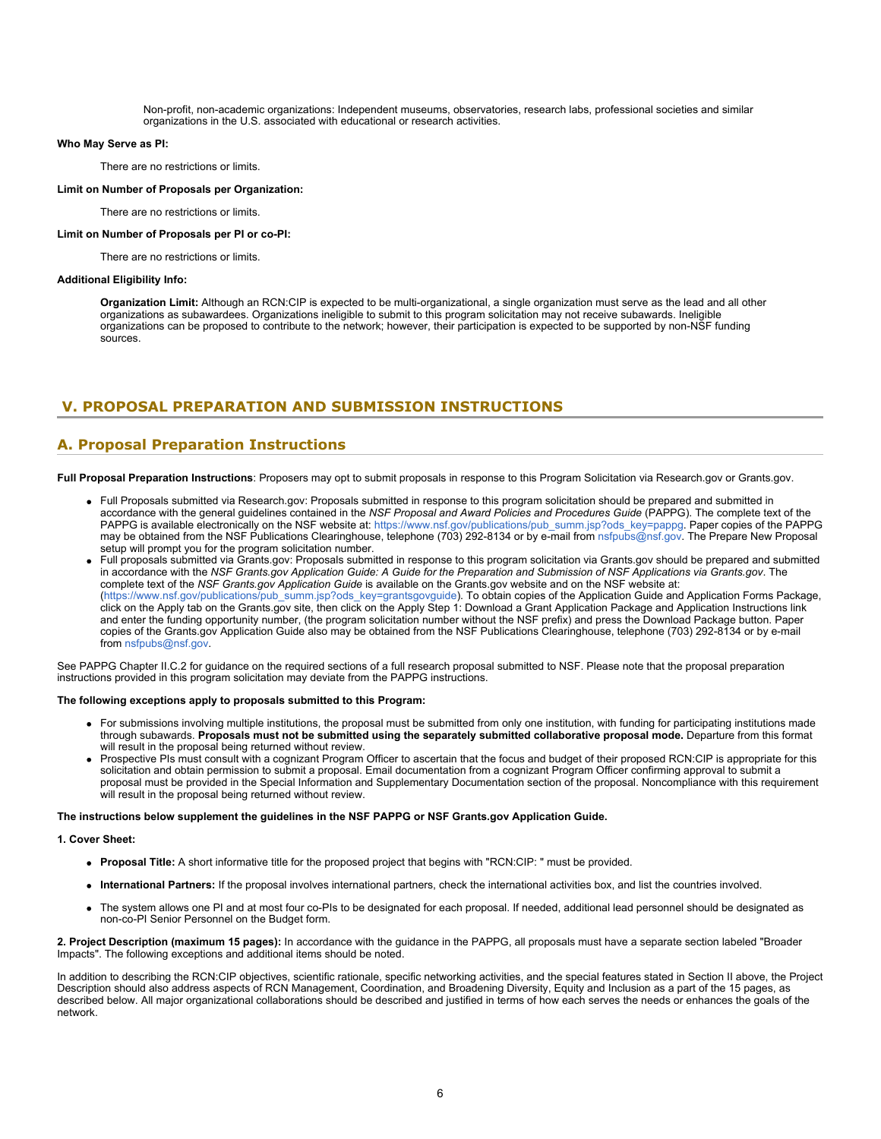Non-profit, non-academic organizations: Independent museums, observatories, research labs, professional societies and similar organizations in the U.S. associated with educational or research activities.

#### **Who May Serve as PI:**

There are no restrictions or limits.

#### **Limit on Number of Proposals per Organization:**

There are no restrictions or limits.

### **Limit on Number of Proposals per PI or co-PI:**

There are no restrictions or limits.

#### **Additional Eligibility Info:**

**Organization Limit:** Although an RCN:CIP is expected to be multi-organizational, a single organization must serve as the lead and all other organizations as subawardees. Organizations ineligible to submit to this program solicitation may not receive subawards. Ineligible organizations can be proposed to contribute to the network; however, their participation is expected to be supported by non-NSF funding sources.

# <span id="page-5-0"></span>**V. PROPOSAL PREPARATION AND SUBMISSION INSTRUCTIONS**

### **A. Proposal Preparation Instructions**

**Full Proposal Preparation Instructions**: Proposers may opt to submit proposals in response to this Program Solicitation via Research.gov or Grants.gov.

- Full Proposals submitted via Research.gov: Proposals submitted in response to this program solicitation should be prepared and submitted in accordance with the general guidelines contained in the *NSF Proposal and Award Policies and Procedures Guide* (PAPPG). The complete text of the PAPPG is available electronically on the NSF website at: [https://www.nsf.gov/publications/pub\\_summ.jsp?ods\\_key=pappg](https://www.nsf.gov/publications/pub_summ.jsp?ods_key=pappg). Paper copies of the PAPPG may be obtained from the NSF Publications Clearinghouse, telephone (703) 292-8134 or by e-mail from [nsfpubs@nsf.gov.](mailto:nsfpubs@nsf.gov) The Prepare New Proposal setup will prompt you for the program solicitation number.
- Full proposals submitted via Grants.gov: Proposals submitted in response to this program solicitation via Grants.gov should be prepared and submitted in accordance with the *NSF Grants.gov Application Guide: A Guide for the Preparation and Submission of NSF Applications via Grants.gov*. The complete text of the *NSF Grants.gov Application Guide* is available on the Grants.gov website and on the NSF website at: [\(https://www.nsf.gov/publications/pub\\_summ.jsp?ods\\_key=grantsgovguide](https://www.nsf.gov/publications/pub_summ.jsp?ods_key=grantsgovguide)). To obtain copies of the Application Guide and Application Forms Package, click on the Apply tab on the Grants.gov site, then click on the Apply Step 1: Download a Grant Application Package and Application Instructions link and enter the funding opportunity number, (the program solicitation number without the NSF prefix) and press the Download Package button. Paper copies of the Grants.gov Application Guide also may be obtained from the NSF Publications Clearinghouse, telephone (703) 292-8134 or by e-mail from [nsfpubs@nsf.gov](mailto:nsfpubs@nsf.gov).

See PAPPG Chapter II.C.2 for guidance on the required sections of a full research proposal submitted to NSF. Please note that the proposal preparation instructions provided in this program solicitation may deviate from the PAPPG instructions.

#### **The following exceptions apply to proposals submitted to this Program:**

- For submissions involving multiple institutions, the proposal must be submitted from only one institution, with funding for participating institutions made through subawards. **Proposals must not be submitted using the separately submitted collaborative proposal mode.** Departure from this format will result in the proposal being returned without review.
- Prospective PIs must consult with a cognizant Program Officer to ascertain that the focus and budget of their proposed RCN:CIP is appropriate for this solicitation and obtain permission to submit a proposal. Email documentation from a cognizant Program Officer confirming approval to submit a proposal must be provided in the Special Information and Supplementary Documentation section of the proposal. Noncompliance with this requirement will result in the proposal being returned without review.

#### **The instructions below supplement the guidelines in the NSF PAPPG or NSF Grants.gov Application Guide.**

### **1. Cover Sheet:**

- **Proposal Title:** A short informative title for the proposed project that begins with "RCN:CIP: " must be provided.
- **International Partners:** If the proposal involves international partners, check the international activities box, and list the countries involved.
- The system allows one PI and at most four co-PIs to be designated for each proposal. If needed, additional lead personnel should be designated as non-co-PI Senior Personnel on the Budget form.

**2. Project Description (maximum 15 pages):** In accordance with the guidance in the PAPPG, all proposals must have a separate section labeled "Broader Impacts". The following exceptions and additional items should be noted.

In addition to describing the RCN:CIP objectives, scientific rationale, specific networking activities, and the special features stated in Section II above, the Project Description should also address aspects of RCN Management, Coordination, and Broadening Diversity, Equity and Inclusion as a part of the 15 pages, as described below. All major organizational collaborations should be described and justified in terms of how each serves the needs or enhances the goals of the network.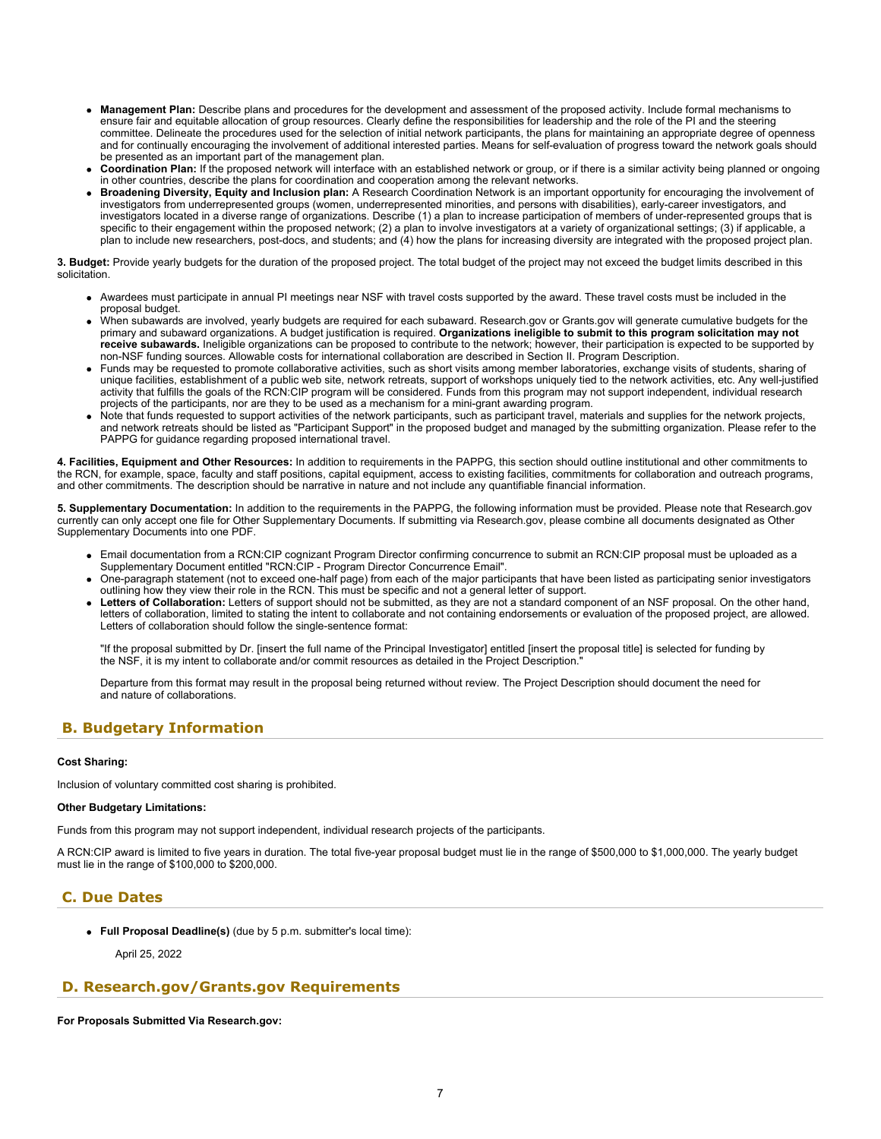- **Management Plan:** Describe plans and procedures for the development and assessment of the proposed activity. Include formal mechanisms to ensure fair and equitable allocation of group resources. Clearly define the responsibilities for leadership and the role of the PI and the steering committee. Delineate the procedures used for the selection of initial network participants, the plans for maintaining an appropriate degree of openness and for continually encouraging the involvement of additional interested parties. Means for self-evaluation of progress toward the network goals should be presented as an important part of the management plan.
- **Coordination Plan:** If the proposed network will interface with an established network or group, or if there is a similar activity being planned or ongoing in other countries, describe the plans for coordination and cooperation among the relevant networks.
- **Broadening Diversity, Equity and Inclusion plan:** A Research Coordination Network is an important opportunity for encouraging the involvement of investigators from underrepresented groups (women, underrepresented minorities, and persons with disabilities), early-career investigators, and investigators located in a diverse range of organizations. Describe (1) a plan to increase participation of members of under-represented groups that is specific to their engagement within the proposed network; (2) a plan to involve investigators at a variety of organizational settings; (3) if applicable, a plan to include new researchers, post-docs, and students; and (4) how the plans for increasing diversity are integrated with the proposed project plan.

**3. Budget:** Provide yearly budgets for the duration of the proposed project. The total budget of the project may not exceed the budget limits described in this solicitation.

- Awardees must participate in annual PI meetings near NSF with travel costs supported by the award. These travel costs must be included in the proposal budget.
- When subawards are involved, yearly budgets are required for each subaward. Research.gov or Grants.gov will generate cumulative budgets for the primary and subaward organizations. A budget justification is required. **Organizations ineligible to submit to this program solicitation may not receive subawards.** Ineligible organizations can be proposed to contribute to the network; however, their participation is expected to be supported by non-NSF funding sources. Allowable costs for international collaboration are described in Section II. Program Description.
- Funds may be requested to promote collaborative activities, such as short visits among member laboratories, exchange visits of students, sharing of unique facilities, establishment of a public web site, network retreats, support of workshops uniquely tied to the network activities, etc. Any well-justified activity that fulfills the goals of the RCN:CIP program will be considered. Funds from this program may not support independent, individual research projects of the participants, nor are they to be used as a mechanism for a mini-grant awarding program.
- Note that funds requested to support activities of the network participants, such as participant travel, materials and supplies for the network projects, and network retreats should be listed as "Participant Support" in the proposed budget and managed by the submitting organization. Please refer to the PAPPG for guidance regarding proposed international travel.

**4. Facilities, Equipment and Other Resources:** In addition to requirements in the PAPPG, this section should outline institutional and other commitments to the RCN, for example, space, faculty and staff positions, capital equipment, access to existing facilities, commitments for collaboration and outreach programs, and other commitments. The description should be narrative in nature and not include any quantifiable financial information.

**5. Supplementary Documentation:** In addition to the requirements in the PAPPG, the following information must be provided. Please note that Research.gov currently can only accept one file for Other Supplementary Documents. If submitting via Research.gov, please combine all documents designated as Other Supplementary Documents into one PDF.

- Email documentation from a RCN:CIP cognizant Program Director confirming concurrence to submit an RCN:CIP proposal must be uploaded as a Supplementary Document entitled "RCN:CIP - Program Director Concurrence Email".
- One-paragraph statement (not to exceed one-half page) from each of the major participants that have been listed as participating senior investigators outlining how they view their role in the RCN. This must be specific and not a general letter of support.
- **Letters of Collaboration:** Letters of support should not be submitted, as they are not a standard component of an NSF proposal. On the other hand, letters of collaboration, limited to stating the intent to collaborate and not containing endorsements or evaluation of the proposed project, are allowed. Letters of collaboration should follow the single-sentence format:

"If the proposal submitted by Dr. [insert the full name of the Principal Investigator] entitled [insert the proposal title] is selected for funding by the NSF, it is my intent to collaborate and/or commit resources as detailed in the Project Description.

Departure from this format may result in the proposal being returned without review. The Project Description should document the need for and nature of collaborations.

# <span id="page-6-0"></span>**B. Budgetary Information**

### **Cost Sharing:**

Inclusion of voluntary committed cost sharing is prohibited.

#### **Other Budgetary Limitations:**

Funds from this program may not support independent, individual research projects of the participants.

A RCN:CIP award is limited to five years in duration. The total five-year proposal budget must lie in the range of \$500,000 to \$1,000,000. The yearly budget must lie in the range of \$100,000 to \$200,000.

# <span id="page-6-1"></span>**C. Due Dates**

**Full Proposal Deadline(s)** (due by 5 p.m. submitter's local time):

April 25, 2022

### <span id="page-6-2"></span>**D. Research.gov/Grants.gov Requirements**

**For Proposals Submitted Via Research.gov:**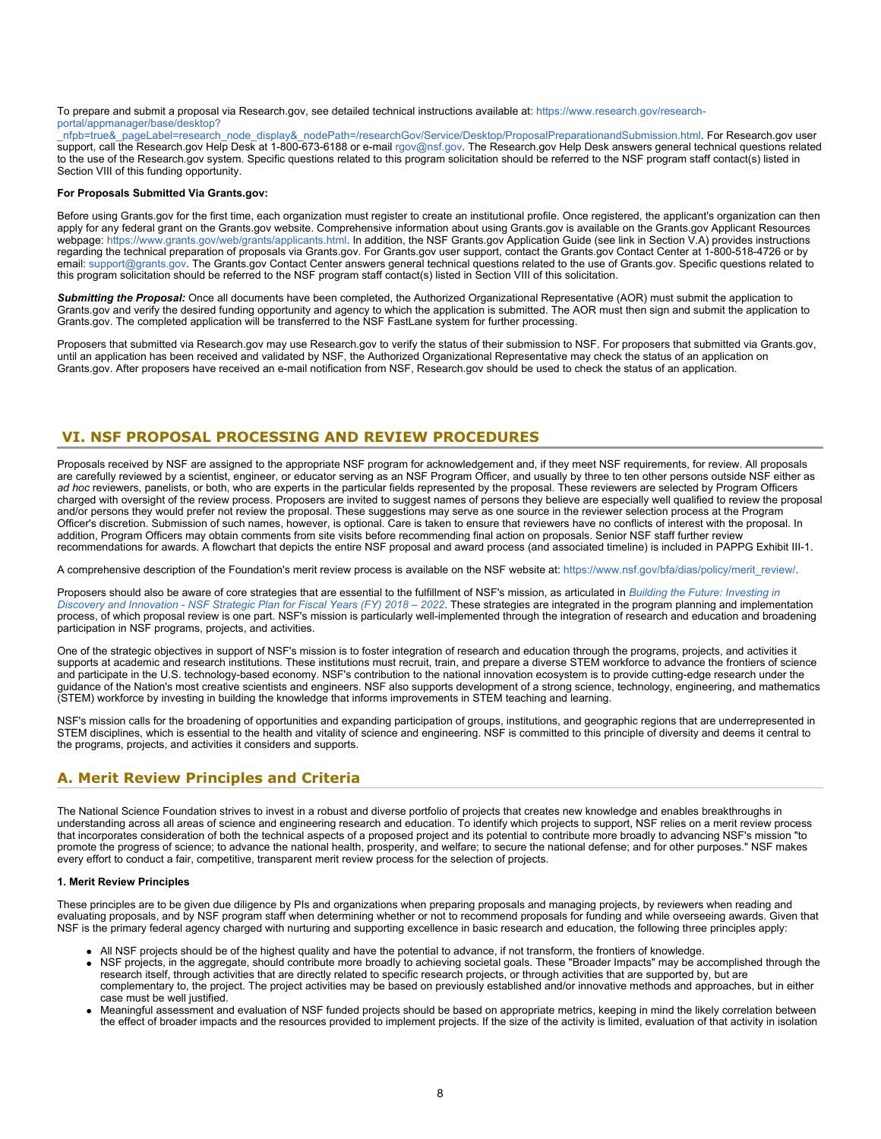#### To prepare and submit a proposal via Research.gov, see detailed technical instructions available at: [https://www.research.gov/research](https://www.research.gov/research-portal/appmanager/base/desktop?_nfpb=true&_pageLabel=research_node_display&_nodePath=/researchGov/Service/Desktop/ProposalPreparationandSubmission.html)[portal/appmanager/base/desktop?](https://www.research.gov/research-portal/appmanager/base/desktop?_nfpb=true&_pageLabel=research_node_display&_nodePath=/researchGov/Service/Desktop/ProposalPreparationandSubmission.html)

[\\_nfpb=true&\\_pageLabel=research\\_node\\_display&\\_nodePath=/researchGov/Service/Desktop/ProposalPreparationandSubmission.html](https://www.research.gov/research-portal/appmanager/base/desktop?_nfpb=true&_pageLabel=research_node_display&_nodePath=/researchGov/Service/Desktop/ProposalPreparationandSubmission.html). For Research.gov user support, call the Research.gov Help Desk at 1-800-673-6188 or e-mail [rgov@nsf.gov](mailto:rgov@nsf.gov). The Research.gov Help Desk answers general technical questions related to the use of the Research.gov system. Specific questions related to this program solicitation should be referred to the NSF program staff contact(s) listed in Section VIII of this funding opportunity.

#### **For Proposals Submitted Via Grants.gov:**

Before using Grants.gov for the first time, each organization must register to create an institutional profile. Once registered, the applicant's organization can then apply for any federal grant on the Grants.gov website. Comprehensive information about using Grants.gov is available on the Grants.gov Applicant Resources webpage:<https://www.grants.gov/web/grants/applicants.html>. In addition, the NSF Grants.gov Application Guide (see link in Section V.A) provides instructions regarding the technical preparation of proposals via Grants.gov. For Grants.gov user support, contact the Grants.gov Contact Center at 1-800-518-4726 or by email: [support@grants.gov.](mailto:support@grants.gov) The Grants.gov Contact Center answers general technical questions related to the use of Grants.gov. Specific questions related to this program solicitation should be referred to the NSF program staff contact(s) listed in Section VIII of this solicitation.

*Submitting the Proposal:* Once all documents have been completed, the Authorized Organizational Representative (AOR) must submit the application to Grants.gov and verify the desired funding opportunity and agency to which the application is submitted. The AOR must then sign and submit the application to Grants.gov. The completed application will be transferred to the NSF FastLane system for further processing.

Proposers that submitted via Research.gov may use Research.gov to verify the status of their submission to NSF. For proposers that submitted via Grants.gov, until an application has been received and validated by NSF, the Authorized Organizational Representative may check the status of an application on Grants.gov. After proposers have received an e-mail notification from NSF, Research.gov should be used to check the status of an application.

### <span id="page-7-0"></span>**VI. NSF PROPOSAL PROCESSING AND REVIEW PROCEDURES**

Proposals received by NSF are assigned to the appropriate NSF program for acknowledgement and, if they meet NSF requirements, for review. All proposals are carefully reviewed by a scientist, engineer, or educator serving as an NSF Program Officer, and usually by three to ten other persons outside NSF either as *ad hoc* reviewers, panelists, or both, who are experts in the particular fields represented by the proposal. These reviewers are selected by Program Officers charged with oversight of the review process. Proposers are invited to suggest names of persons they believe are especially well qualified to review the proposal and/or persons they would prefer not review the proposal. These suggestions may serve as one source in the reviewer selection process at the Program Officer's discretion. Submission of such names, however, is optional. Care is taken to ensure that reviewers have no conflicts of interest with the proposal. In addition, Program Officers may obtain comments from site visits before recommending final action on proposals. Senior NSF staff further review recommendations for awards. A flowchart that depicts the entire NSF proposal and award process (and associated timeline) is included in PAPPG Exhibit III-1.

A comprehensive description of the Foundation's merit review process is available on the NSF website at: [https://www.nsf.gov/bfa/dias/policy/merit\\_review/](https://www.nsf.gov/bfa/dias/policy/merit_review/).

Proposers should also be aware of core strategies that are essential to the fulfillment of NSF's mission, as articulated in *[Building the Future: Investing in](https://www.nsf.gov/publications/pub_summ.jsp?ods_key=nsf18045) [Discovery and Innovation - NSF Strategic Plan for Fiscal Years \(FY\) 2018 – 2022](https://www.nsf.gov/publications/pub_summ.jsp?ods_key=nsf18045)*. These strategies are integrated in the program planning and implementation process, of which proposal review is one part. NSF's mission is particularly well-implemented through the integration of research and education and broadening participation in NSF programs, projects, and activities.

One of the strategic objectives in support of NSF's mission is to foster integration of research and education through the programs, projects, and activities it supports at academic and research institutions. These institutions must recruit, train, and prepare a diverse STEM workforce to advance the frontiers of science and participate in the U.S. technology-based economy. NSF's contribution to the national innovation ecosystem is to provide cutting-edge research under the guidance of the Nation's most creative scientists and engineers. NSF also supports development of a strong science, technology, engineering, and mathematics (STEM) workforce by investing in building the knowledge that informs improvements in STEM teaching and learning.

NSF's mission calls for the broadening of opportunities and expanding participation of groups, institutions, and geographic regions that are underrepresented in STEM disciplines, which is essential to the health and vitality of science and engineering. NSF is committed to this principle of diversity and deems it central to the programs, projects, and activities it considers and supports.

# <span id="page-7-1"></span>**A. Merit Review Principles and Criteria**

The National Science Foundation strives to invest in a robust and diverse portfolio of projects that creates new knowledge and enables breakthroughs in understanding across all areas of science and engineering research and education. To identify which projects to support, NSF relies on a merit review process that incorporates consideration of both the technical aspects of a proposed project and its potential to contribute more broadly to advancing NSF's mission "to promote the progress of science; to advance the national health, prosperity, and welfare; to secure the national defense; and for other purposes." NSF makes every effort to conduct a fair, competitive, transparent merit review process for the selection of projects.

#### **1. Merit Review Principles**

These principles are to be given due diligence by PIs and organizations when preparing proposals and managing projects, by reviewers when reading and evaluating proposals, and by NSF program staff when determining whether or not to recommend proposals for funding and while overseeing awards. Given that NSF is the primary federal agency charged with nurturing and supporting excellence in basic research and education, the following three principles apply:

- All NSF projects should be of the highest quality and have the potential to advance, if not transform, the frontiers of knowledge.
- NSF projects, in the aggregate, should contribute more broadly to achieving societal goals. These "Broader Impacts" may be accomplished through the research itself, through activities that are directly related to specific research projects, or through activities that are supported by, but are complementary to, the project. The project activities may be based on previously established and/or innovative methods and approaches, but in either case must be well justified.
- Meaningful assessment and evaluation of NSF funded projects should be based on appropriate metrics, keeping in mind the likely correlation between the effect of broader impacts and the resources provided to implement projects. If the size of the activity is limited, evaluation of that activity in isolation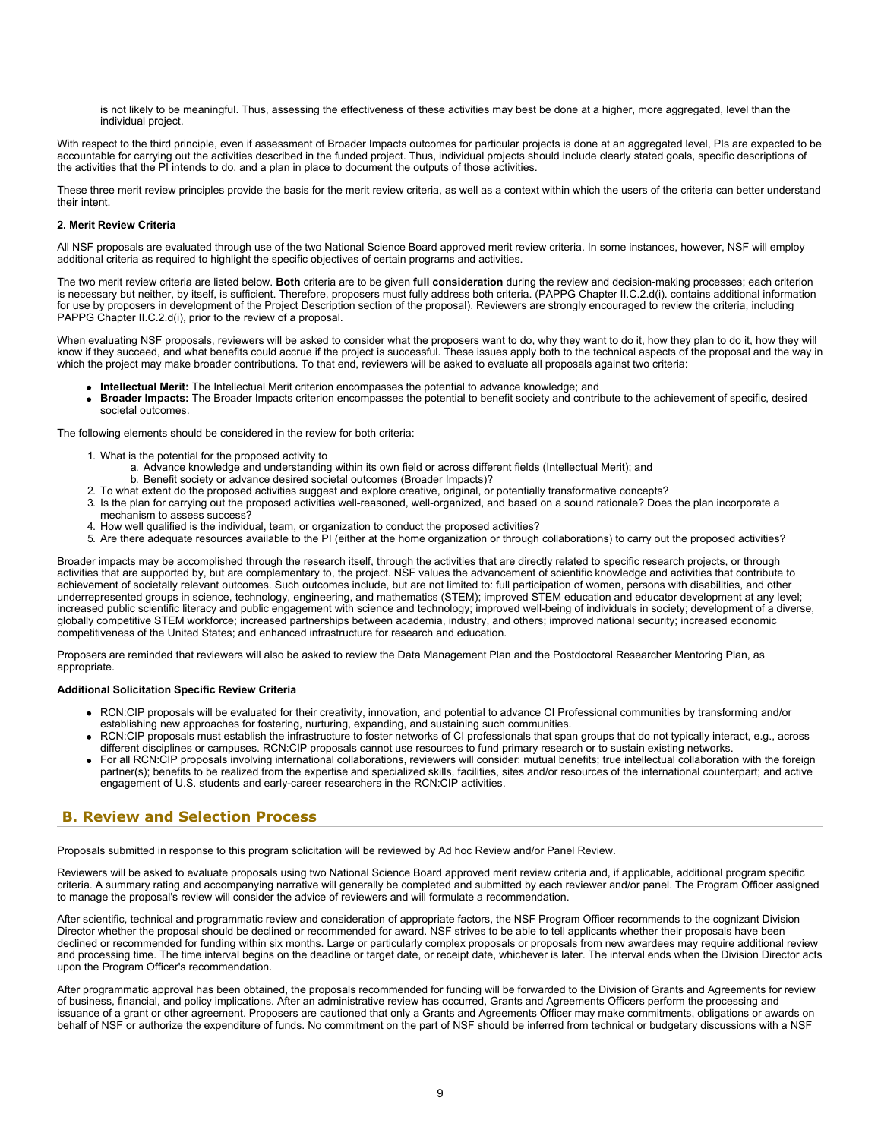is not likely to be meaningful. Thus, assessing the effectiveness of these activities may best be done at a higher, more aggregated, level than the individual project.

With respect to the third principle, even if assessment of Broader Impacts outcomes for particular projects is done at an aggregated level, PIs are expected to be accountable for carrying out the activities described in the funded project. Thus, individual projects should include clearly stated goals, specific descriptions of the activities that the PI intends to do, and a plan in place to document the outputs of those activities.

These three merit review principles provide the basis for the merit review criteria, as well as a context within which the users of the criteria can better understand their intent.

#### **2. Merit Review Criteria**

All NSF proposals are evaluated through use of the two National Science Board approved merit review criteria. In some instances, however, NSF will employ additional criteria as required to highlight the specific objectives of certain programs and activities.

The two merit review criteria are listed below. **Both** criteria are to be given **full consideration** during the review and decision-making processes; each criterion is necessary but neither, by itself, is sufficient. Therefore, proposers must fully address both criteria. (PAPPG Chapter II.C.2.d(i). contains additional information for use by proposers in development of the Project Description section of the proposal). Reviewers are strongly encouraged to review the criteria, including PAPPG Chapter II.C.2.d(i), prior to the review of a proposal.

When evaluating NSF proposals, reviewers will be asked to consider what the proposers want to do, why they want to do it, how they plan to do it, how they will know if they succeed, and what benefits could accrue if the project is successful. These issues apply both to the technical aspects of the proposal and the way in which the project may make broader contributions. To that end, reviewers will be asked to evaluate all proposals against two criteria:

- **Intellectual Merit:** The Intellectual Merit criterion encompasses the potential to advance knowledge; and
- **Broader Impacts:** The Broader Impacts criterion encompasses the potential to benefit society and contribute to the achievement of specific, desired societal outcomes.

The following elements should be considered in the review for both criteria:

- 1. What is the potential for the proposed activity to
	- a. Advance knowledge and understanding within its own field or across different fields (Intellectual Merit); and
	- b. Benefit society or advance desired societal outcomes (Broader Impacts)?
- 2. To what extent do the proposed activities suggest and explore creative, original, or potentially transformative concepts?
- 3. Is the plan for carrying out the proposed activities well-reasoned, well-organized, and based on a sound rationale? Does the plan incorporate a mechanism to assess success?
- 4. How well qualified is the individual, team, or organization to conduct the proposed activities?
- 5. Are there adequate resources available to the PI (either at the home organization or through collaborations) to carry out the proposed activities?

Broader impacts may be accomplished through the research itself, through the activities that are directly related to specific research projects, or through activities that are supported by, but are complementary to, the project. NSF values the advancement of scientific knowledge and activities that contribute to achievement of societally relevant outcomes. Such outcomes include, but are not limited to: full participation of women, persons with disabilities, and other underrepresented groups in science, technology, engineering, and mathematics (STEM); improved STEM education and educator development at any level; increased public scientific literacy and public engagement with science and technology; improved well-being of individuals in society; development of a diverse, globally competitive STEM workforce; increased partnerships between academia, industry, and others; improved national security; increased economic competitiveness of the United States; and enhanced infrastructure for research and education.

Proposers are reminded that reviewers will also be asked to review the Data Management Plan and the Postdoctoral Researcher Mentoring Plan, as appropriate.

### **Additional Solicitation Specific Review Criteria**

- RCN:CIP proposals will be evaluated for their creativity, innovation, and potential to advance CI Professional communities by transforming and/or establishing new approaches for fostering, nurturing, expanding, and sustaining such communities.
- RCN:CIP proposals must establish the infrastructure to foster networks of CI professionals that span groups that do not typically interact, e.g., across different disciplines or campuses. RCN:CIP proposals cannot use resources to fund primary research or to sustain existing networks.
- For all RCN:CIP proposals involving international collaborations, reviewers will consider: mutual benefits; true intellectual collaboration with the foreign partner(s); benefits to be realized from the expertise and specialized skills, facilities, sites and/or resources of the international counterpart; and active engagement of U.S. students and early-career researchers in the RCN:CIP activities.

# <span id="page-8-0"></span>**B. Review and Selection Process**

Proposals submitted in response to this program solicitation will be reviewed by Ad hoc Review and/or Panel Review.

Reviewers will be asked to evaluate proposals using two National Science Board approved merit review criteria and, if applicable, additional program specific criteria. A summary rating and accompanying narrative will generally be completed and submitted by each reviewer and/or panel. The Program Officer assigned to manage the proposal's review will consider the advice of reviewers and will formulate a recommendation.

After scientific, technical and programmatic review and consideration of appropriate factors, the NSF Program Officer recommends to the cognizant Division Director whether the proposal should be declined or recommended for award. NSF strives to be able to tell applicants whether their proposals have been declined or recommended for funding within six months. Large or particularly complex proposals or proposals from new awardees may require additional review and processing time. The time interval begins on the deadline or target date, or receipt date, whichever is later. The interval ends when the Division Director acts upon the Program Officer's recommendation.

After programmatic approval has been obtained, the proposals recommended for funding will be forwarded to the Division of Grants and Agreements for review of business, financial, and policy implications. After an administrative review has occurred, Grants and Agreements Officers perform the processing and issuance of a grant or other agreement. Proposers are cautioned that only a Grants and Agreements Officer may make commitments, obligations or awards on behalf of NSF or authorize the expenditure of funds. No commitment on the part of NSF should be inferred from technical or budgetary discussions with a NSF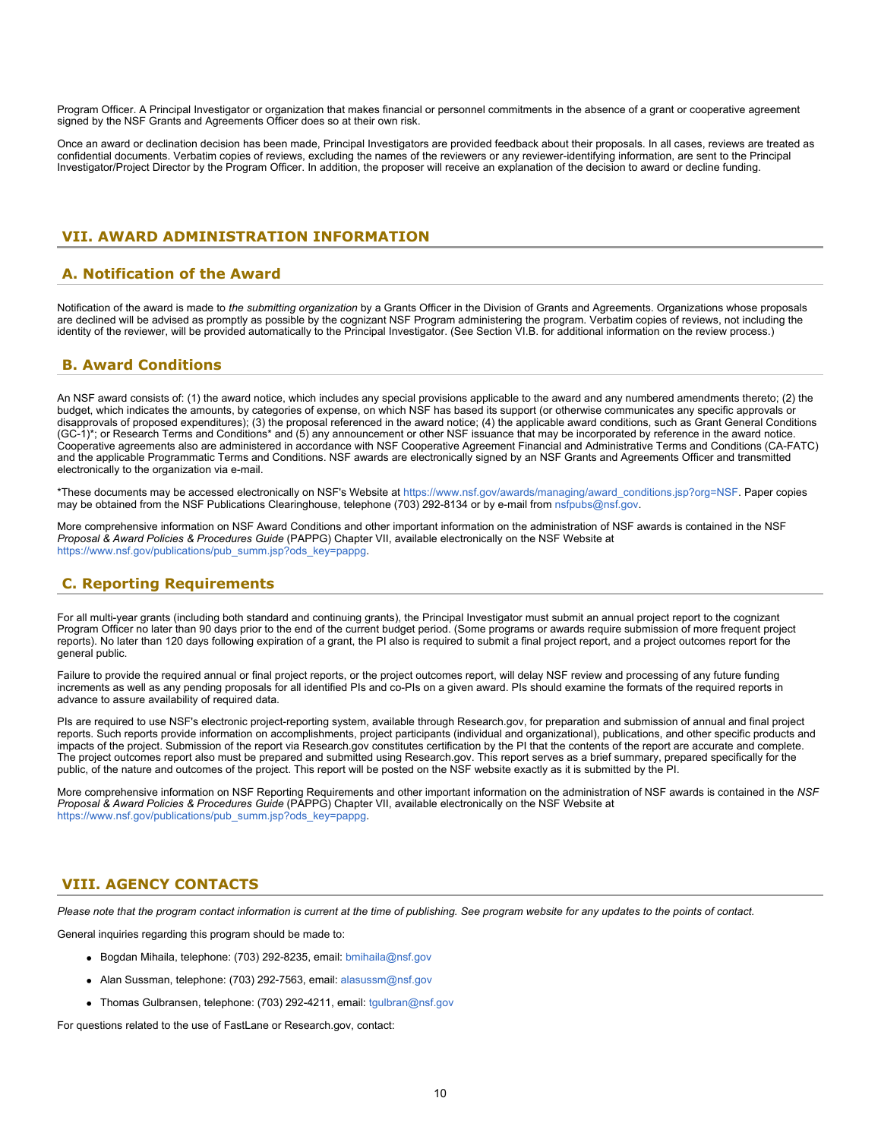Program Officer. A Principal Investigator or organization that makes financial or personnel commitments in the absence of a grant or cooperative agreement signed by the NSF Grants and Agreements Officer does so at their own risk.

Once an award or declination decision has been made, Principal Investigators are provided feedback about their proposals. In all cases, reviews are treated as confidential documents. Verbatim copies of reviews, excluding the names of the reviewers or any reviewer-identifying information, are sent to the Principal Investigator/Project Director by the Program Officer. In addition, the proposer will receive an explanation of the decision to award or decline funding.

# <span id="page-9-0"></span>**VII. AWARD ADMINISTRATION INFORMATION**

# <span id="page-9-1"></span>**A. Notification of the Award**

Notification of the award is made to *the submitting organization* by a Grants Officer in the Division of Grants and Agreements. Organizations whose proposals are declined will be advised as promptly as possible by the cognizant NSF Program administering the program. Verbatim copies of reviews, not including the identity of the reviewer, will be provided automatically to the Principal Investigator. (See Section VI.B. for additional information on the review process.)

# <span id="page-9-2"></span>**B. Award Conditions**

An NSF award consists of: (1) the award notice, which includes any special provisions applicable to the award and any numbered amendments thereto; (2) the budget, which indicates the amounts, by categories of expense, on which NSF has based its support (or otherwise communicates any specific approvals or disapprovals of proposed expenditures); (3) the proposal referenced in the award notice; (4) the applicable award conditions, such as Grant General Conditions (GC-1)\*; or Research Terms and Conditions\* and (5) any announcement or other NSF issuance that may be incorporated by reference in the award notice. Cooperative agreements also are administered in accordance with NSF Cooperative Agreement Financial and Administrative Terms and Conditions (CA-FATC) and the applicable Programmatic Terms and Conditions. NSF awards are electronically signed by an NSF Grants and Agreements Officer and transmitted electronically to the organization via e-mail.

\*These documents may be accessed electronically on NSF's Website at [https://www.nsf.gov/awards/managing/award\\_conditions.jsp?org=NSF](https://www.nsf.gov/awards/managing/award_conditions.jsp?org=NSF). Paper copies may be obtained from the NSF Publications Clearinghouse, telephone (703) 292-8134 or by e-mail from [nsfpubs@nsf.gov.](mailto:nsfpubs@nsf.gov)

More comprehensive information on NSF Award Conditions and other important information on the administration of NSF awards is contained in the NSF *Proposal & Award Policies & Procedures Guide* (PAPPG) Chapter VII, available electronically on the NSF Website at https://www.nsf.gov/publications/pub\_summ.jsp?ods\_key=pappg

# <span id="page-9-3"></span>**C. Reporting Requirements**

For all multi-year grants (including both standard and continuing grants), the Principal Investigator must submit an annual project report to the cognizant Program Officer no later than 90 days prior to the end of the current budget period. (Some programs or awards require submission of more frequent project reports). No later than 120 days following expiration of a grant, the PI also is required to submit a final project report, and a project outcomes report for the general public.

Failure to provide the required annual or final project reports, or the project outcomes report, will delay NSF review and processing of any future funding increments as well as any pending proposals for all identified PIs and co-PIs on a given award. PIs should examine the formats of the required reports in advance to assure availability of required data.

PIs are required to use NSF's electronic project-reporting system, available through Research.gov, for preparation and submission of annual and final project reports. Such reports provide information on accomplishments, project participants (individual and organizational), publications, and other specific products and impacts of the project. Submission of the report via Research.gov constitutes certification by the PI that the contents of the report are accurate and complete. The project outcomes report also must be prepared and submitted using Research.gov. This report serves as a brief summary, prepared specifically for the public, of the nature and outcomes of the project. This report will be posted on the NSF website exactly as it is submitted by the PI.

More comprehensive information on NSF Reporting Requirements and other important information on the administration of NSF awards is contained in the *NSF Proposal & Award Policies & Procedures Guide* (PAPPG) Chapter VII, available electronically on the NSF Website at [https://www.nsf.gov/publications/pub\\_summ.jsp?ods\\_key=pappg.](https://www.nsf.gov/publications/pub_summ.jsp?ods_key=pappg)

# <span id="page-9-4"></span>**VIII. AGENCY CONTACTS**

*Please note that the program contact information is current at the time of publishing. See program website for any updates to the points of contact.*

General inquiries regarding this program should be made to:

- Bogdan Mihaila, telephone: (703) 292-8235, email: [bmihaila@nsf.gov](mailto:bmihaila@nsf.gov)
- Alan Sussman, telephone: (703) 292-7563, email: [alasussm@nsf.gov](mailto:alasussm@nsf.gov)
- Thomas Gulbransen, telephone: (703) 292-4211, email: [tgulbran@nsf.gov](mailto:tgulbran@nsf.gov)

For questions related to the use of FastLane or Research.gov, contact: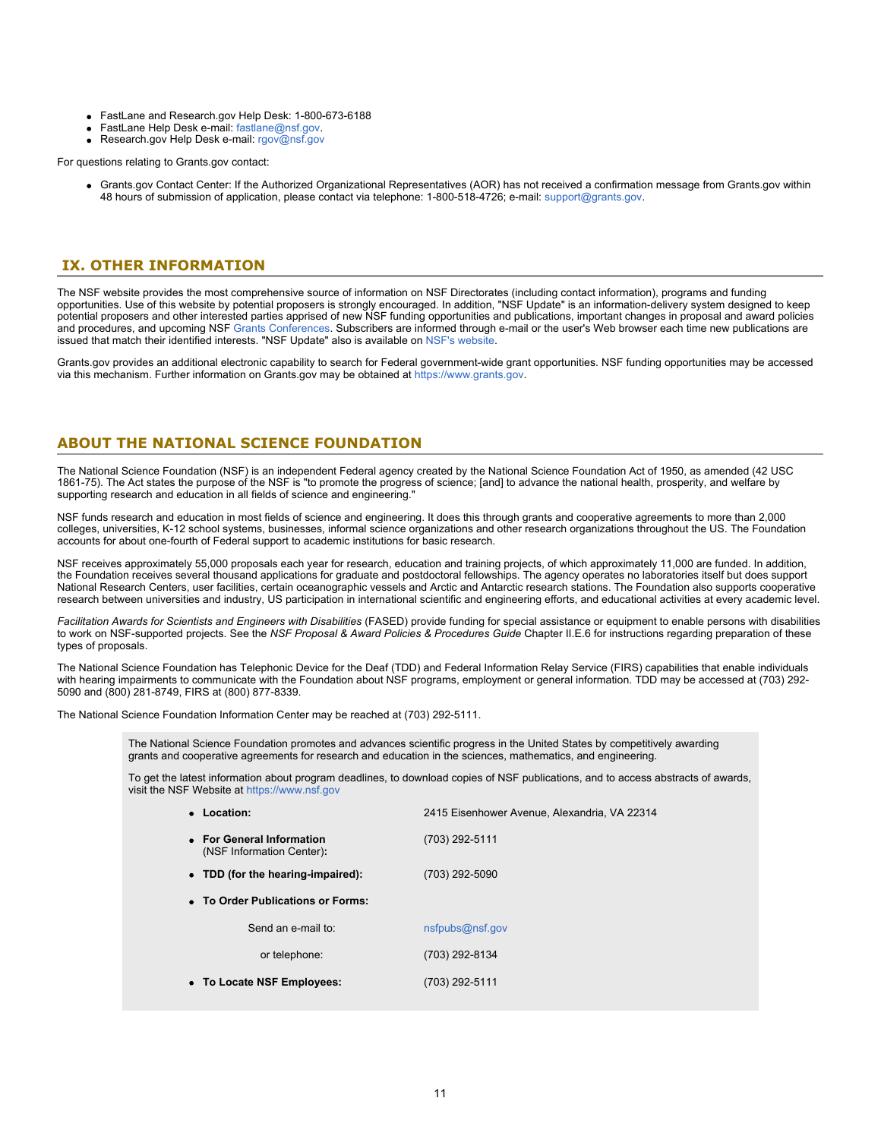- FastLane and Research.gov Help Desk: 1-800-673-6188
- FastLane Help Desk e-mail: [fastlane@nsf.gov](mailto:fastlane@nsf.gov).
- Research.gov Help Desk e-mail: [rgov@nsf.gov](mailto:rgov@nsf.gov)

For questions relating to Grants.gov contact:

Grants.gov Contact Center: If the Authorized Organizational Representatives (AOR) has not received a confirmation message from Grants.gov within 48 hours of submission of application, please contact via telephone: 1-800-518-4726; e-mail: [support@grants.gov](mailto:support@grants.gov).

### <span id="page-10-0"></span>**IX. OTHER INFORMATION**

The NSF website provides the most comprehensive source of information on NSF Directorates (including contact information), programs and funding opportunities. Use of this website by potential proposers is strongly encouraged. In addition, "NSF Update" is an information-delivery system designed to keep potential proposers and other interested parties apprised of new NSF funding opportunities and publications, important changes in proposal and award policies and procedures, and upcoming NSF [Grants Conferences](https://www.nsf.gov/bfa/dias/policy/outreach.jsp). Subscribers are informed through e-mail or the user's Web browser each time new publications are issued that match their identified interests. "NSF Update" also is available on [NSF's website](https://www.nsf.gov/cgi-bin/goodbye?https://public.govdelivery.com/accounts/USNSF/subscriber/new?topic_id=USNSF_179).

Grants.gov provides an additional electronic capability to search for Federal government-wide grant opportunities. NSF funding opportunities may be accessed via this mechanism. Further information on Grants.gov may be obtained at [https://www.grants.gov](https://www.grants.gov/).

# **ABOUT THE NATIONAL SCIENCE FOUNDATION**

The National Science Foundation (NSF) is an independent Federal agency created by the National Science Foundation Act of 1950, as amended (42 USC 1861-75). The Act states the purpose of the NSF is "to promote the progress of science; [and] to advance the national health, prosperity, and welfare by supporting research and education in all fields of science and engineering."

NSF funds research and education in most fields of science and engineering. It does this through grants and cooperative agreements to more than 2,000 colleges, universities, K-12 school systems, businesses, informal science organizations and other research organizations throughout the US. The Foundation accounts for about one-fourth of Federal support to academic institutions for basic research.

NSF receives approximately 55,000 proposals each year for research, education and training projects, of which approximately 11,000 are funded. In addition, the Foundation receives several thousand applications for graduate and postdoctoral fellowships. The agency operates no laboratories itself but does support National Research Centers, user facilities, certain oceanographic vessels and Arctic and Antarctic research stations. The Foundation also supports cooperative research between universities and industry, US participation in international scientific and engineering efforts, and educational activities at every academic level.

*Facilitation Awards for Scientists and Engineers with Disabilities* (FASED) provide funding for special assistance or equipment to enable persons with disabilities to work on NSF-supported projects. See the *NSF Proposal & Award Policies & Procedures Guide* Chapter II.E.6 for instructions regarding preparation of these types of proposals.

The National Science Foundation has Telephonic Device for the Deaf (TDD) and Federal Information Relay Service (FIRS) capabilities that enable individuals with hearing impairments to communicate with the Foundation about NSF programs, employment or general information. TDD may be accessed at (703) 292-5090 and (800) 281-8749, FIRS at (800) 877-8339.

The National Science Foundation Information Center may be reached at (703) 292-5111.

The National Science Foundation promotes and advances scientific progress in the United States by competitively awarding grants and cooperative agreements for research and education in the sciences, mathematics, and engineering.

To get the latest information about program deadlines, to download copies of NSF publications, and to access abstracts of awards, visit the NSF Website at [https://www.nsf.gov](https://www.nsf.gov/)

| • Location:                                            | 2415 Eisenhower Avenue, Alexandria, VA 22314 |
|--------------------------------------------------------|----------------------------------------------|
| • For General Information<br>(NSF Information Center): | (703) 292-5111                               |
| • TDD (for the hearing-impaired):                      | (703) 292-5090                               |
| • To Order Publications or Forms:                      |                                              |
| Send an e-mail to:                                     | nsfpubs@nsf.gov                              |
| or telephone:                                          | (703) 292-8134                               |
| • To Locate NSF Employees:                             | (703) 292-5111                               |
|                                                        |                                              |